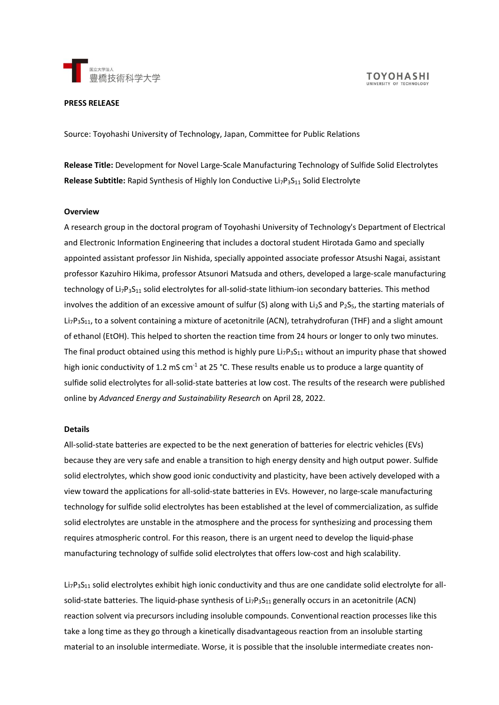

**TOYOHASHI** 

#### **PRESS RELEASE**

Source: Toyohashi University of Technology, Japan, Committee for Public Relations

**Release Title:** Development for Novel Large-Scale Manufacturing Technology of Sulfide Solid Electrolytes **Release Subtitle:** Rapid Synthesis of Highly Ion Conductive Li<sub>7</sub>P<sub>3</sub>S<sub>11</sub> Solid Electrolyte

## **Overview**

A research group in the doctoral program of Toyohashi University of Technology's Department of Electrical and Electronic Information Engineering that includes a doctoral student Hirotada Gamo and specially appointed assistant professor Jin Nishida, specially appointed associate professor Atsushi Nagai, assistant professor Kazuhiro Hikima, professor Atsunori Matsuda and others, developed a large-scale manufacturing technology of  $Li_7P_3S_{11}$  solid electrolytes for all-solid-state lithium-ion secondary batteries. This method involves the addition of an excessive amount of sulfur (S) along with Li<sub>2</sub>S and P<sub>2</sub>S<sub>5</sub>, the starting materials of Li<sub>7</sub>P<sub>3</sub>S<sub>11</sub>, to a solvent containing a mixture of acetonitrile (ACN), tetrahydrofuran (THF) and a slight amount of ethanol (EtOH). This helped to shorten the reaction time from 24 hours or longer to only two minutes. The final product obtained using this method is highly pure  $Li_7P_3S_{11}$  without an impurity phase that showed high ionic conductivity of 1.2 mS cm<sup>-1</sup> at 25 °C. These results enable us to produce a large quantity of sulfide solid electrolytes for all-solid-state batteries at low cost. The results of the research were published online by *Advanced Energy and Sustainability Research* on April 28, 2022.

## **Details**

All-solid-state batteries are expected to be the next generation of batteries for electric vehicles (EVs) because they are very safe and enable a transition to high energy density and high output power. Sulfide solid electrolytes, which show good ionic conductivity and plasticity, have been actively developed with a view toward the applications for all-solid-state batteries in EVs. However, no large-scale manufacturing technology for sulfide solid electrolytes has been established at the level of commercialization, as sulfide solid electrolytes are unstable in the atmosphere and the process for synthesizing and processing them requires atmospheric control. For this reason, there is an urgent need to develop the liquid-phase manufacturing technology of sulfide solid electrolytes that offers low-cost and high scalability.

 $L_7P_3S_{11}$  solid electrolytes exhibit high ionic conductivity and thus are one candidate solid electrolyte for allsolid-state batteries. The liquid-phase synthesis of  $Li_7P_3S_{11}$  generally occurs in an acetonitrile (ACN) reaction solvent via precursors including insoluble compounds. Conventional reaction processes like this take a long time as they go through a kinetically disadvantageous reaction from an insoluble starting material to an insoluble intermediate. Worse, it is possible that the insoluble intermediate creates non-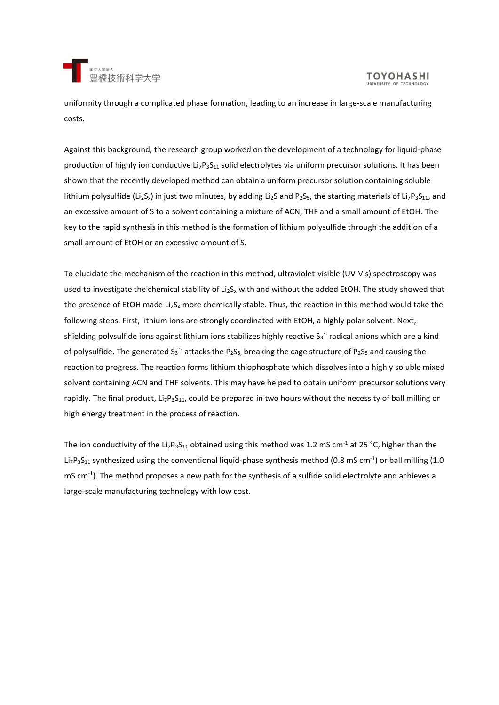

uniformity through a complicated phase formation, leading to an increase in large-scale manufacturing costs.

Against this background, the research group worked on the development of a technology for liquid-phase production of highly ion conductive Li<sub>7</sub>P<sub>3</sub>S<sub>11</sub> solid electrolytes via uniform precursor solutions. It has been shown that the recently developed method can obtain a uniform precursor solution containing soluble lithium polysulfide (Li<sub>2</sub>S<sub>x</sub>) in just two minutes, by adding Li<sub>2</sub>S and P<sub>2</sub>S<sub>5</sub>, the starting materials of Li<sub>7</sub>P<sub>3</sub>S<sub>11</sub>, and an excessive amount of S to a solvent containing a mixture of ACN, THF and a small amount of EtOH. The key to the rapid synthesis in this method is the formation of lithium polysulfide through the addition of a small amount of EtOH or an excessive amount of S.

To elucidate the mechanism of the reaction in this method, ultraviolet-visible (UV-Vis) spectroscopy was used to investigate the chemical stability of  $Li<sub>2</sub>S<sub>x</sub>$  with and without the added EtOH. The study showed that the presence of EtOH made Li<sub>2</sub>S<sub>x</sub> more chemically stable. Thus, the reaction in this method would take the following steps. First, lithium ions are strongly coordinated with EtOH, a highly polar solvent. Next, shielding polysulfide ions against lithium ions stabilizes highly reactive S<sub>3</sub><sup>-</sup> radical anions which are a kind of polysulfide. The generated S<sub>3</sub><sup>-</sup> attacks the P<sub>2</sub>S<sub>5</sub>, breaking the cage structure of P<sub>2</sub>S<sub>5</sub> and causing the reaction to progress. The reaction forms lithium thiophosphate which dissolves into a highly soluble mixed solvent containing ACN and THF solvents. This may have helped to obtain uniform precursor solutions very rapidly. The final product, Li<sub>7</sub>P<sub>3</sub>S<sub>11</sub>, could be prepared in two hours without the necessity of ball milling or high energy treatment in the process of reaction.

The ion conductivity of the Li<sub>7</sub>P<sub>3</sub>S<sub>11</sub> obtained using this method was 1.2 mS cm<sup>-1</sup> at 25 °C, higher than the Li<sub>7</sub>P<sub>3</sub>S<sub>11</sub> synthesized using the conventional liquid-phase synthesis method (0.8 mS cm<sup>-1</sup>) or ball milling (1.0 mS cm<sup>-1</sup>). The method proposes a new path for the synthesis of a sulfide solid electrolyte and achieves a large-scale manufacturing technology with low cost.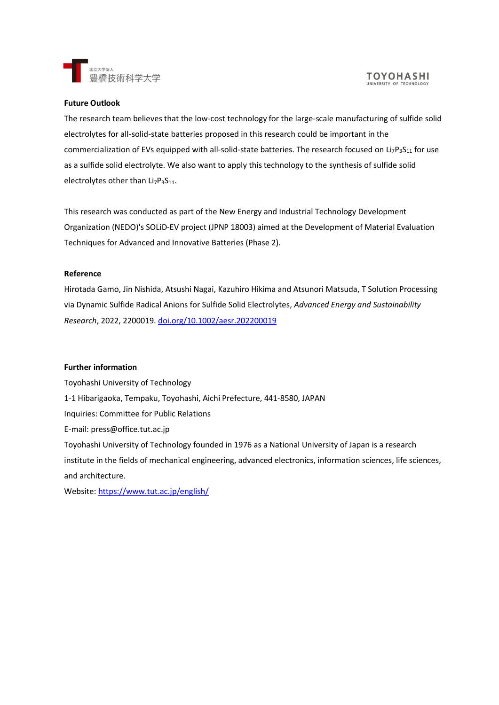

## **Future Outlook**

The research team believes that the low-cost technology for the large-scale manufacturing of sulfide solid electrolytes for all-solid-state batteries proposed in this research could be important in the commercialization of EVs equipped with all-solid-state batteries. The research focused on Li<sub>7</sub>P<sub>3</sub>S<sub>11</sub> for use as a sulfide solid electrolyte. We also want to apply this technology to the synthesis of sulfide solid electrolytes other than  $Li<sub>7</sub>P<sub>3</sub>S<sub>11</sub>$ .

This research was conducted as part of the New Energy and Industrial Technology Development Organization (NEDO)'s SOLiD-EV project (JPNP 18003) aimed at the Development of Material Evaluation Techniques for Advanced and Innovative Batteries (Phase 2).

# **Reference**

Hirotada Gamo, Jin Nishida, Atsushi Nagai, Kazuhiro Hikima and Atsunori Matsuda, T Solution Processing via Dynamic Sulfide Radical Anions for Sulfide Solid Electrolytes, *Advanced Energy and Sustainability Research*, 2022, 2200019. [doi.org/10.1002/aesr.202200019](https://doi.org/10.1002/aesr.202200019)

## **Further information**

Toyohashi University of Technology 1-1 Hibarigaoka, Tempaku, Toyohashi, Aichi Prefecture, 441-8580, JAPAN Inquiries: Committee for Public Relations E-mail: press@office.tut.ac.jp Toyohashi University of Technology founded in 1976 as a National University of Japan is a research institute in the fields of mechanical engineering, advanced electronics, information sciences, life sciences, and architecture.

Website:<https://www.tut.ac.jp/english/>